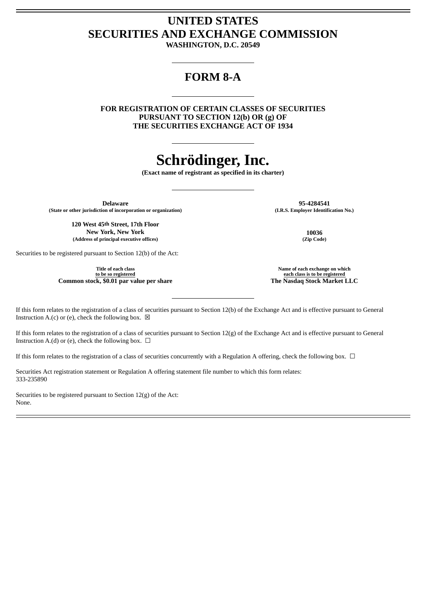## **UNITED STATES SECURITIES AND EXCHANGE COMMISSION**

**WASHINGTON, D.C. 20549**

### **FORM 8-A**

**FOR REGISTRATION OF CERTAIN CLASSES OF SECURITIES PURSUANT TO SECTION 12(b) OR (g) OF THE SECURITIES EXCHANGE ACT OF 1934**

# **Schrödinger, Inc.**

**(Exact name of registrant as specified in its charter)**

**(State or other jurisdiction of incorporation or organization) (I.R.S. Employer Identification No.)**

**120 West 45th Street, 17th Floor New York, New York 10036 (Address of principal executive offices) (Zip Code)**

Securities to be registered pursuant to Section 12(b) of the Act:

**Title of each class to be so registered Common stock**, **\$0.01 par value per share** 

**Delaware 95-4284541**

**Name of each exchange on which each class is to be registered**

If this form relates to the registration of a class of securities pursuant to Section 12(b) of the Exchange Act and is effective pursuant to General Instruction A.(c) or (e), check the following box.  $\boxtimes$ 

If this form relates to the registration of a class of securities pursuant to Section 12(g) of the Exchange Act and is effective pursuant to General Instruction A.(d) or (e), check the following box.  $\Box$ 

If this form relates to the registration of a class of securities concurrently with a Regulation A offering, check the following box.  $\Box$ 

Securities Act registration statement or Regulation A offering statement file number to which this form relates: 333-235890

Securities to be registered pursuant to Section 12(g) of the Act: None.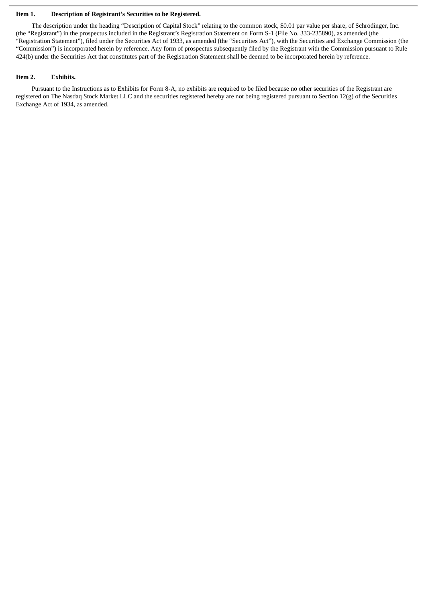#### **Item 1. Description of Registrant's Securities to be Registered.**

The description under the heading "Description of Capital Stock" relating to the common stock, \$0.01 par value per share, of Schrödinger, Inc. (the "Registrant") in the prospectus included in the Registrant's Registration Statement on Form S-1 (File No. 333-235890), as amended (the "Registration Statement"), filed under the Securities Act of 1933, as amended (the "Securities Act"), with the Securities and Exchange Commission (the "Commission") is incorporated herein by reference. Any form of prospectus subsequently filed by the Registrant with the Commission pursuant to Rule 424(b) under the Securities Act that constitutes part of the Registration Statement shall be deemed to be incorporated herein by reference.

### **Item 2. Exhibits.**

Pursuant to the Instructions as to Exhibits for Form 8-A, no exhibits are required to be filed because no other securities of the Registrant are registered on The Nasdaq Stock Market LLC and the securities registered hereby are not being registered pursuant to Section 12(g) of the Securities Exchange Act of 1934, as amended.